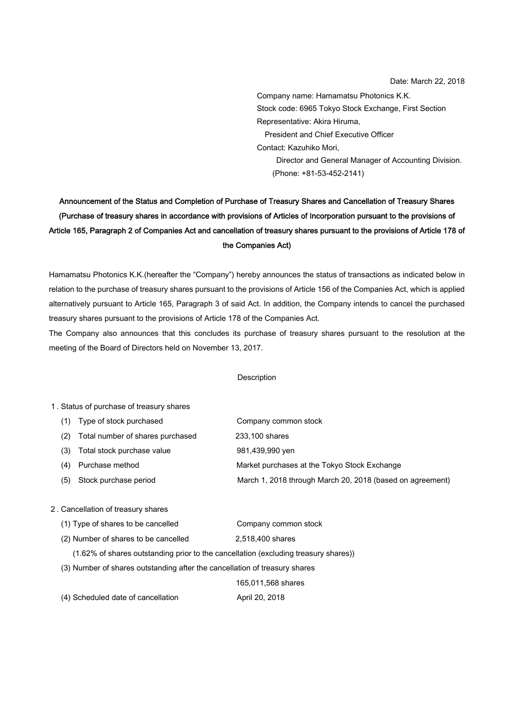Company name: Hamamatsu Photonics K.K. Stock code: 6965 Tokyo Stock Exchange, First Section Representative: Akira Hiruma, President and Chief Executive Officer Contact: Kazuhiko Mori, Director and General Manager of Accounting Division. (Phone: +81-53-452-2141)

# Announcement of the Status and Completion of Purchase of Treasury Shares and Cancellation of Treasury Shares (Purchase of treasury shares in accordance with provisions of Articles of Incorporation pursuant to the provisions of Article 165, Paragraph 2 of Companies Act and cancellation of treasury shares pursuant to the provisions of Article 178 of the Companies Act)

Hamamatsu Photonics K.K.(hereafter the "Company") hereby announces the status of transactions as indicated below in relation to the purchase of treasury shares pursuant to the provisions of Article 156 of the Companies Act, which is applied alternatively pursuant to Article 165, Paragraph 3 of said Act. In addition, the Company intends to cancel the purchased treasury shares pursuant to the provisions of Article 178 of the Companies Act.

The Company also announces that this concludes its purchase of treasury shares pursuant to the resolution at the meeting of the Board of Directors held on November 13, 2017.

#### Description

#### 1. Status of purchase of treasury shares

|                                  | Company common stock                                      |
|----------------------------------|-----------------------------------------------------------|
| Total number of shares purchased | 233,100 shares                                            |
| Total stock purchase value       | 981,439,990 yen                                           |
| Purchase method                  | Market purchases at the Tokyo Stock Exchange              |
| Stock purchase period            | March 1, 2018 through March 20, 2018 (based on agreement) |
|                                  | (1) Type of stock purchased                               |

### 2. Cancellation of treasury shares

| (1) Type of shares to be cancelled   | Company common stock |
|--------------------------------------|----------------------|
| (2) Number of shares to be cancelled | 2.518.400 shares     |

(1.62% of shares outstanding prior to the cancellation (excluding treasury shares))

(3) Number of shares outstanding after the cancellation of treasury shares

165,011,568 shares

(4) Scheduled date of cancellation April 20, 2018